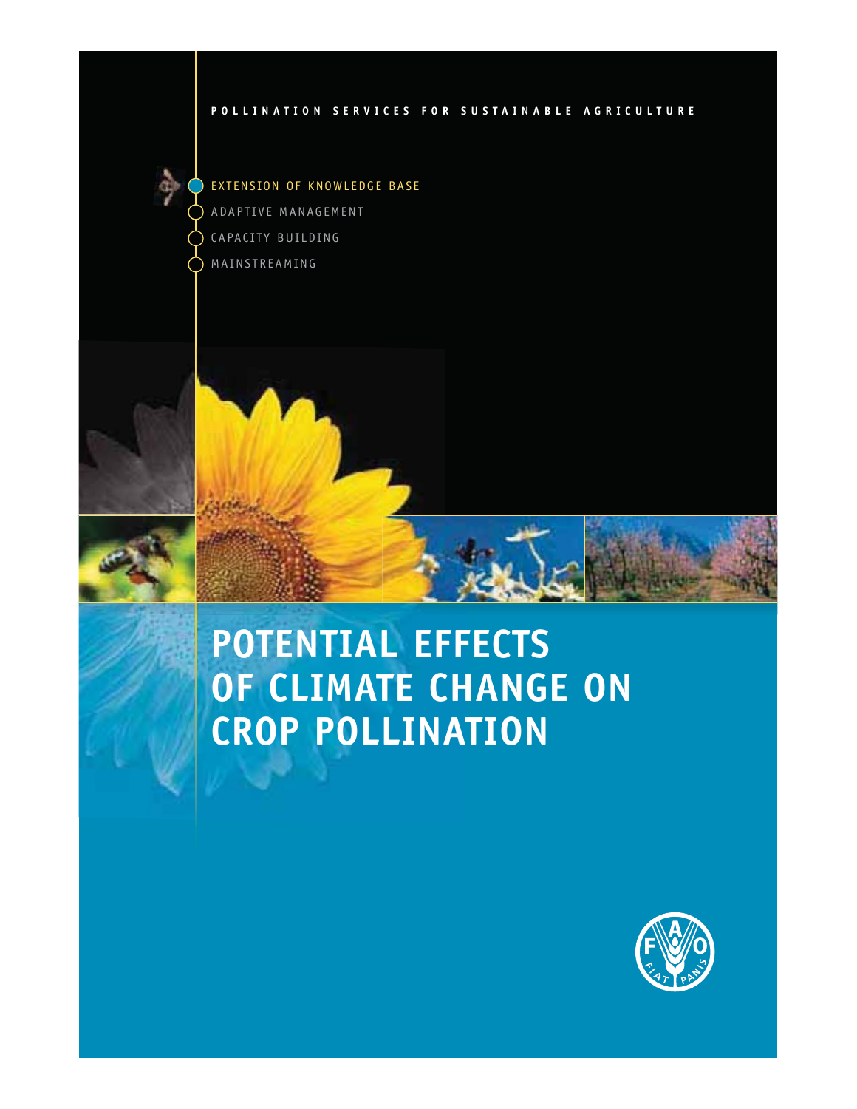#### **POLLINATION SERVICES FOR SUSTAINABLE AGRICULTURE**

EXTENSION OF KNOWLEDGE BASE ADAPTIVE MANAGEMENT CAPACITY BUILDING MAINSTREAMING



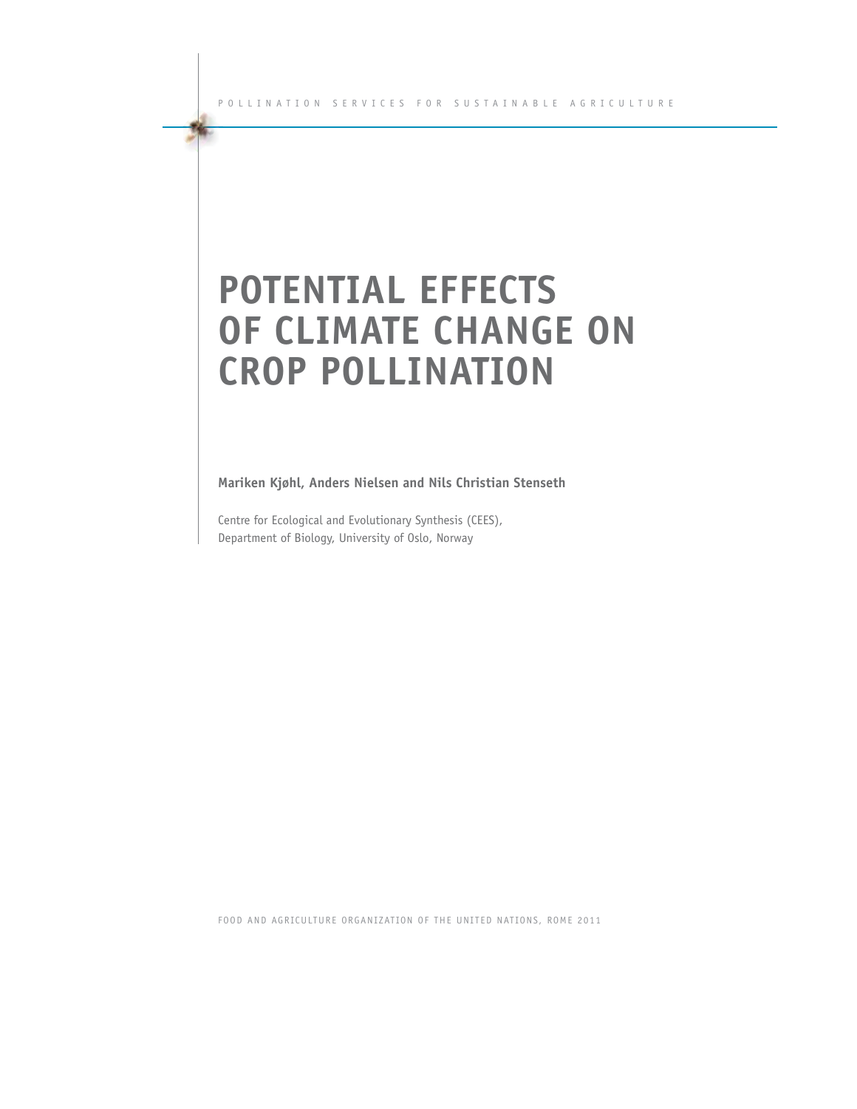# **POTENTIAL EFFECTS OF CLIMATE CHANGE ON CROP POLLINATION**

**Mariken Kjøhl, Anders Nielsen and Nils Christian Stenseth**

Centre for Ecological and Evolutionary Synthesis (CEES), Department of Biology, University of Oslo, Norway

FOOD AND AGRICULTURE ORGANIZATION OF THE UNITED NATIONS, ROME 2011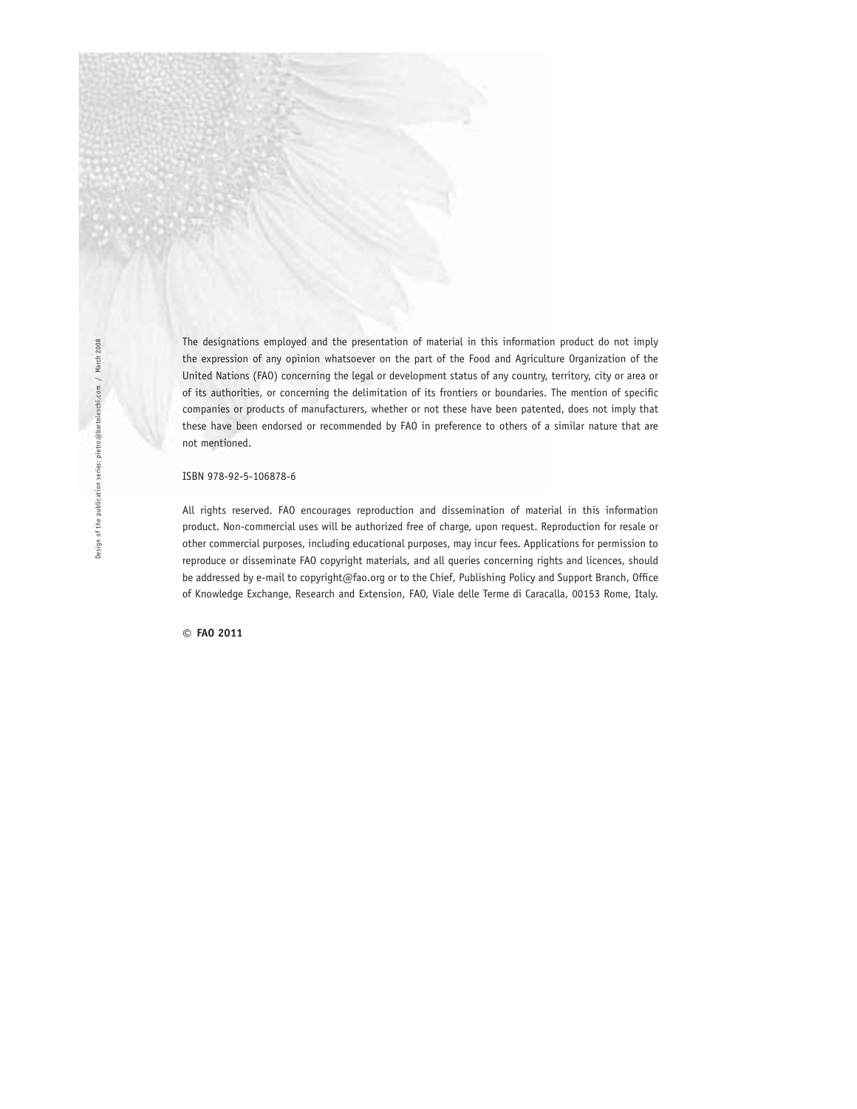The designations employed and the presentation of material in this information product do not imply the expression of any opinion whatsoever on the part of the Food and Agriculture Organization of the United Nations (FAO) concerning the legal or development status of any country, territory, city or area or of its authorities, or concerning the delimitation of its frontiers or boundaries. The mention of specific companies or products of manufacturers, whether or not these have been patented, does not imply that these have been endorsed or recommended by FAO in preference to others of a similar nature that are not mentioned.

#### ISBN 978-92-5-106878-6

All rights reserved. FAO encourages reproduction and dissemination of material in this information product. Non-commercial uses will be authorized free of charge, upon request. Reproduction for resale or other commercial purposes, including educational purposes, may incur fees. Applications for permission to reproduce or disseminate FAO copyright materials, and all queries concerning rights and licences, should be addressed by e-mail to copyright@fao.org or to the Chief, Publishing Policy and Support Branch, Office of Knowledge Exchange, Research and Extension, FAO, Viale delle Terme di Caracalla, 00153 Rome, Italy.

**© FAO 2011**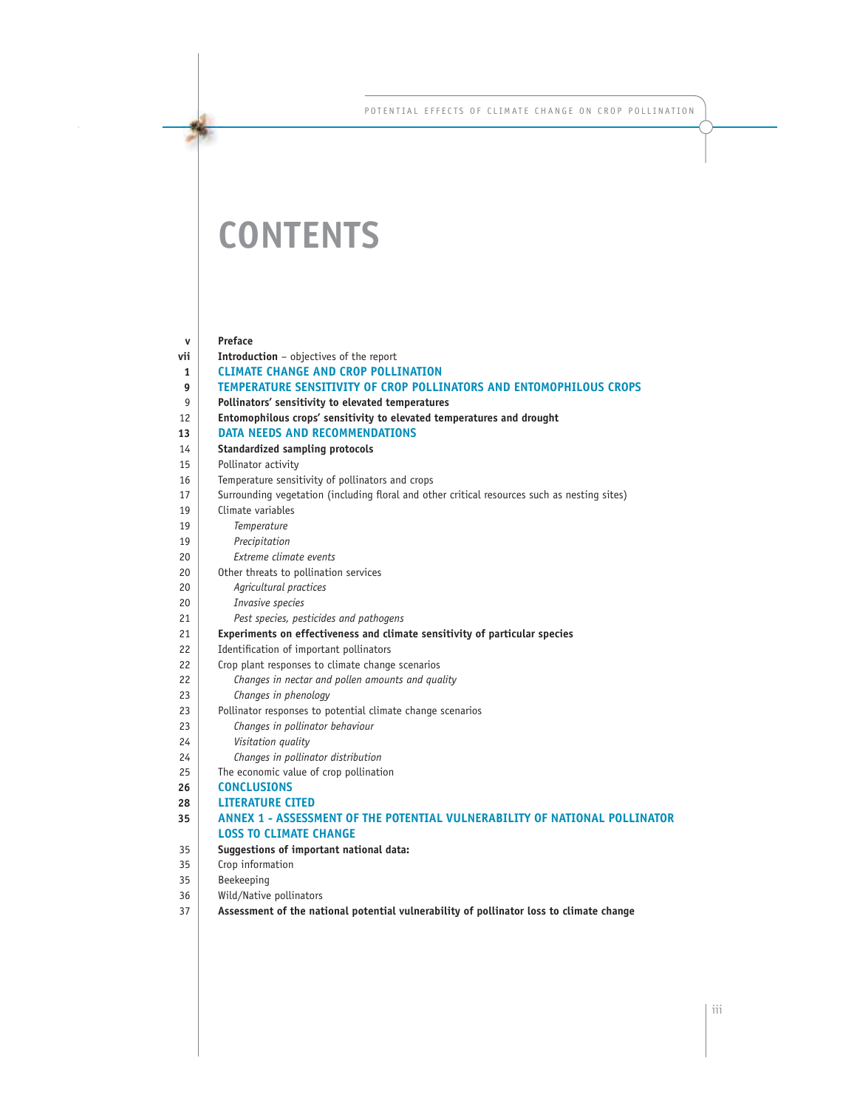POTENTIAL EFFECTS OF CLIMATE CHANGE ON CROP POLLINATION

## **CONTENTS**

| v   | <b>Preface</b>                                                                               |
|-----|----------------------------------------------------------------------------------------------|
| vii | <b>Introduction</b> - objectives of the report                                               |
| 1   | <b>CLIMATE CHANGE AND CROP POLLINATION</b>                                                   |
| 9   | TEMPERATURE SENSITIVITY OF CROP POLLINATORS AND ENTOMOPHILOUS CROPS                          |
| 9   | Pollinators' sensitivity to elevated temperatures                                            |
| 12  | Entomophilous crops' sensitivity to elevated temperatures and drought                        |
| 13  | <b>DATA NEEDS AND RECOMMENDATIONS</b>                                                        |
| 14  | <b>Standardized sampling protocols</b>                                                       |
| 15  | Pollinator activity                                                                          |
| 16  | Temperature sensitivity of pollinators and crops                                             |
| 17  | Surrounding vegetation (including floral and other critical resources such as nesting sites) |
| 19  | Climate variables                                                                            |
| 19  | Temperature                                                                                  |
| 19  | Precipitation                                                                                |
| 20  | Extreme climate events                                                                       |
| 20  | Other threats to pollination services                                                        |
| 20  | Agricultural practices                                                                       |
| 20  | Invasive species                                                                             |
| 21  | Pest species, pesticides and pathogens                                                       |
| 21  | Experiments on effectiveness and climate sensitivity of particular species                   |
| 22  | Identification of important pollinators                                                      |
| 22  | Crop plant responses to climate change scenarios                                             |
| 22  | Changes in nectar and pollen amounts and quality                                             |
| 23  | Changes in phenology                                                                         |
| 23  | Pollinator responses to potential climate change scenarios                                   |
| 23  | Changes in pollinator behaviour                                                              |
| 24  | Visitation quality                                                                           |
| 24  | Changes in pollinator distribution                                                           |
| 25  | The economic value of crop pollination                                                       |
| 26  | <b>CONCLUSIONS</b>                                                                           |
| 28  | <b>LITERATURE CITED</b>                                                                      |
| 35  | ANNEX 1 - ASSESSMENT OF THE POTENTIAL VULNERABILITY OF NATIONAL POLLINATOR                   |
|     | <b>LOSS TO CLIMATE CHANGE</b>                                                                |
| 35  | Suggestions of important national data:                                                      |
| 35  | Crop information                                                                             |
| 35  | Beekeeping                                                                                   |
| 36  | Wild/Native pollinators                                                                      |
| 37  | Assessment of the national potential vulnerability of pollinator loss to climate change      |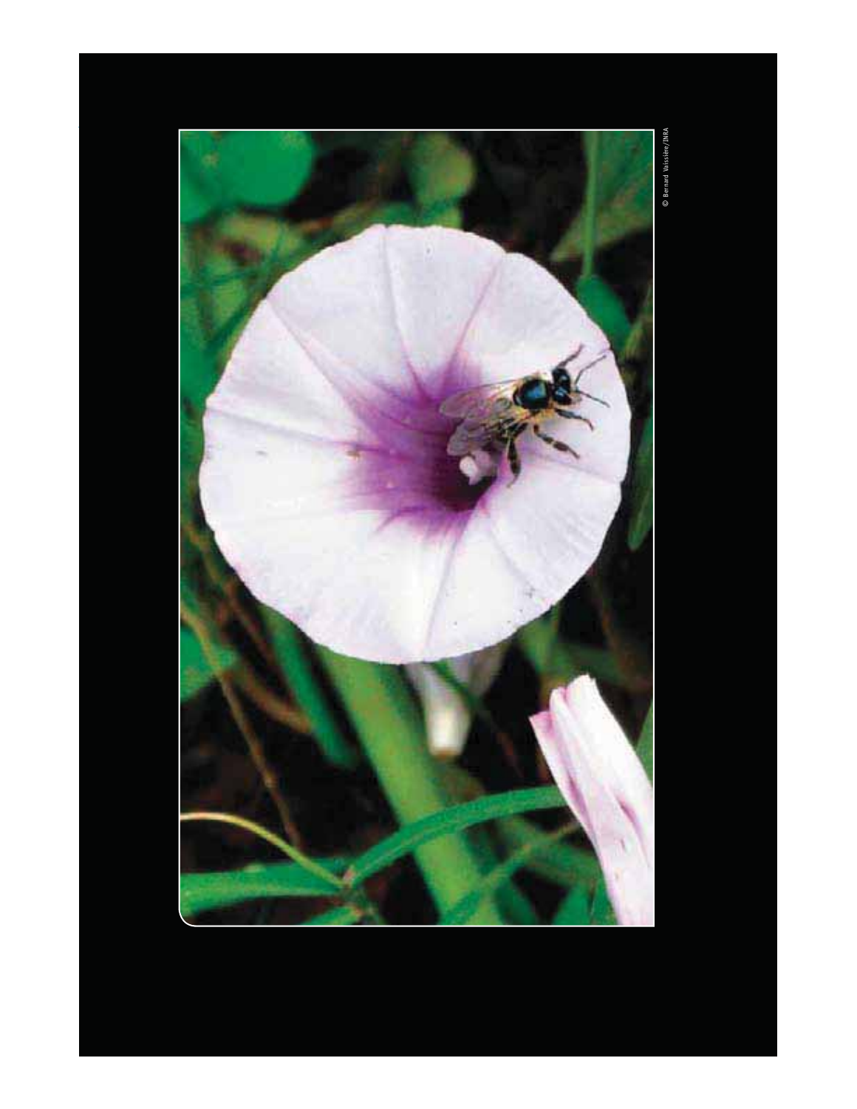

**© Bernard Vaissière/INRA** Bernard Vaissière/INRA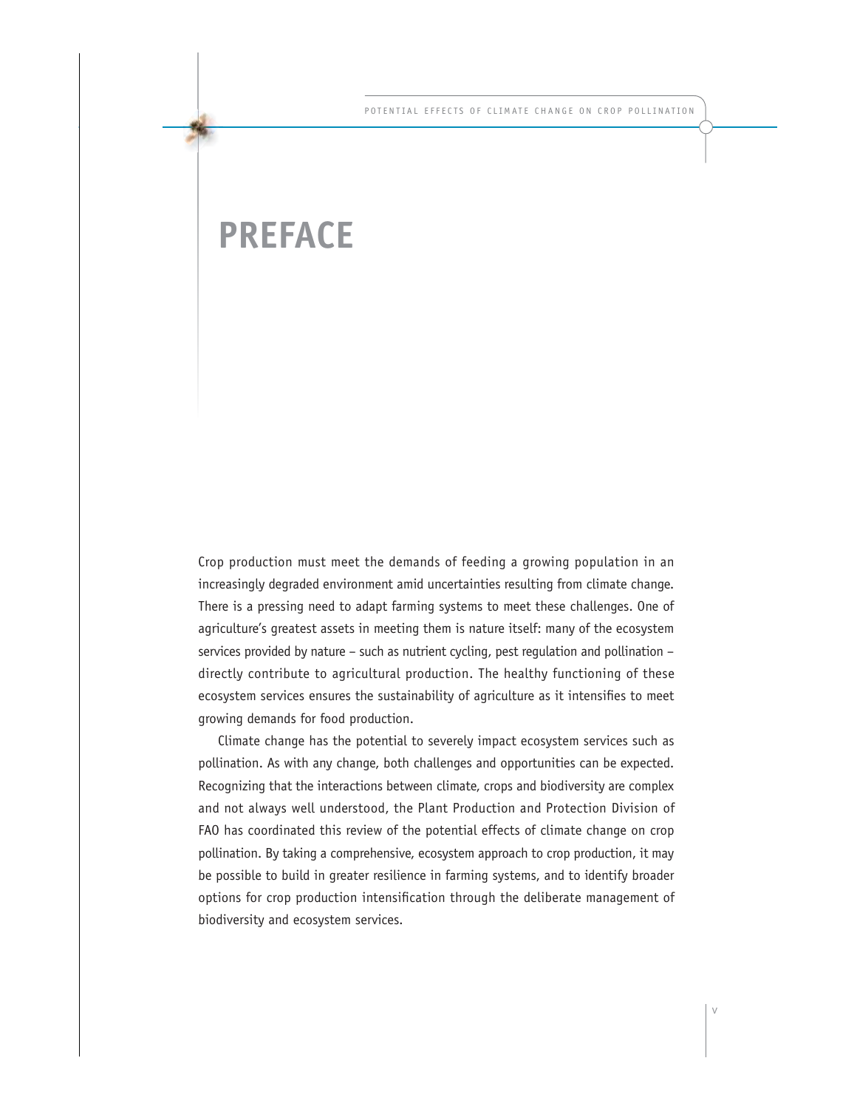### **PREFACE**

Crop production must meet the demands of feeding a growing population in an increasingly degraded environment amid uncertainties resulting from climate change. There is a pressing need to adapt farming systems to meet these challenges. One of agriculture's greatest assets in meeting them is nature itself: many of the ecosystem services provided by nature – such as nutrient cycling, pest regulation and pollination – directly contribute to agricultural production. The healthy functioning of these ecosystem services ensures the sustainability of agriculture as it intensifies to meet growing demands for food production.

Climate change has the potential to severely impact ecosystem services such as pollination. As with any change, both challenges and opportunities can be expected. Recognizing that the interactions between climate, crops and biodiversity are complex and not always well understood, the Plant Production and Protection Division of FAO has coordinated this review of the potential effects of climate change on crop pollination. By taking a comprehensive, ecosystem approach to crop production, it may be possible to build in greater resilience in farming systems, and to identify broader options for crop production intensification through the deliberate management of biodiversity and ecosystem services.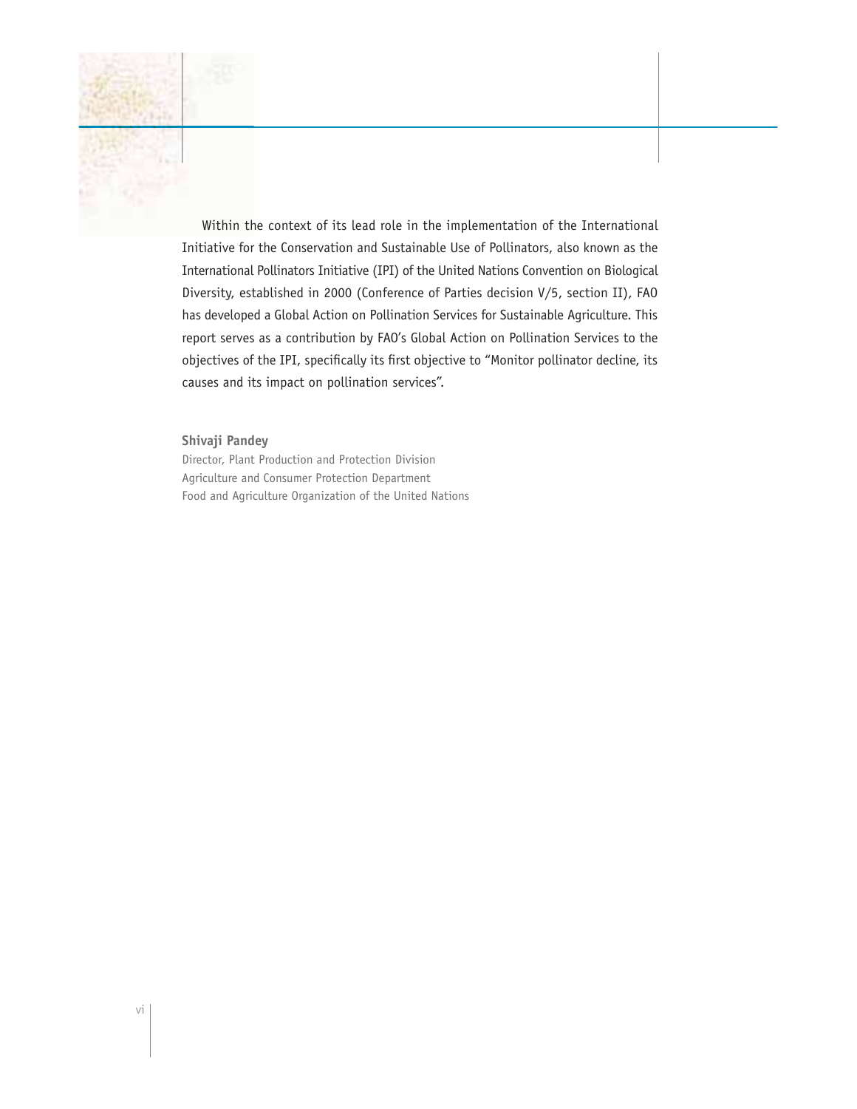Within the context of its lead role in the implementation of the International Initiative for the Conservation and Sustainable Use of Pollinators, also known as the International Pollinators Initiative (IPI) of the United Nations Convention on Biological Diversity, established in 2000 (Conference of Parties decision V/5, section II), FAO has developed a Global Action on Pollination Services for Sustainable Agriculture. This report serves as a contribution by FAO's Global Action on Pollination Services to the objectives of the IPI, specifically its first objective to "Monitor pollinator decline, its causes and its impact on pollination services".

#### **Shivaji Pandey**

Director, Plant Production and Protection Division Agriculture and Consumer Protection Department Food and Agriculture Organization of the United Nations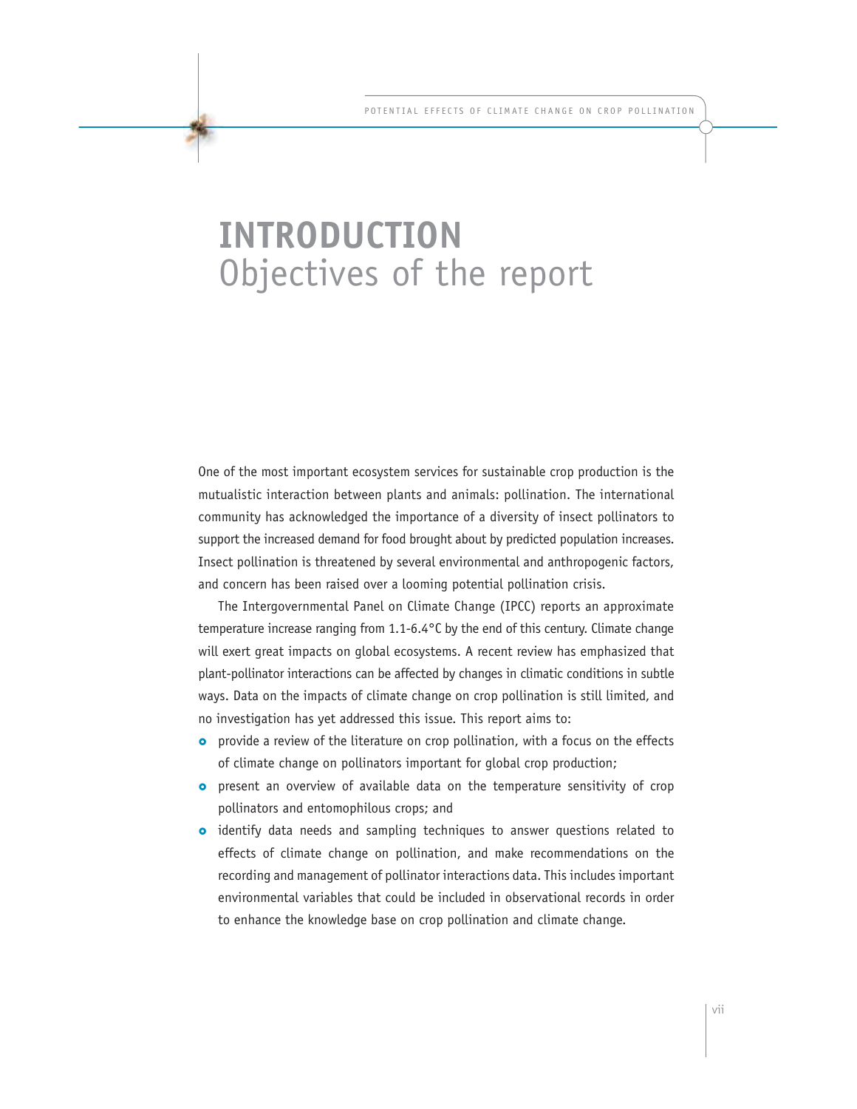## **INTRODUCTION** Objectives of the report

One of the most important ecosystem services for sustainable crop production is the mutualistic interaction between plants and animals: pollination. The international community has acknowledged the importance of a diversity of insect pollinators to support the increased demand for food brought about by predicted population increases. Insect pollination is threatened by several environmental and anthropogenic factors, and concern has been raised over a looming potential pollination crisis.

The Intergovernmental Panel on Climate Change (IPCC) reports an approximate temperature increase ranging from 1.1-6.4°C by the end of this century. Climate change will exert great impacts on global ecosystems. A recent review has emphasized that plant-pollinator interactions can be affected by changes in climatic conditions in subtle ways. Data on the impacts of climate change on crop pollination is still limited, and no investigation has yet addressed this issue. This report aims to:

- **o** provide a review of the literature on crop pollination, with a focus on the effects of climate change on pollinators important for global crop production;
- present an overview of available data on the temperature sensitivity of crop pollinators and entomophilous crops; and
- **o** identify data needs and sampling techniques to answer questions related to effects of climate change on pollination, and make recommendations on the recording and management of pollinator interactions data. This includes important environmental variables that could be included in observational records in order to enhance the knowledge base on crop pollination and climate change.